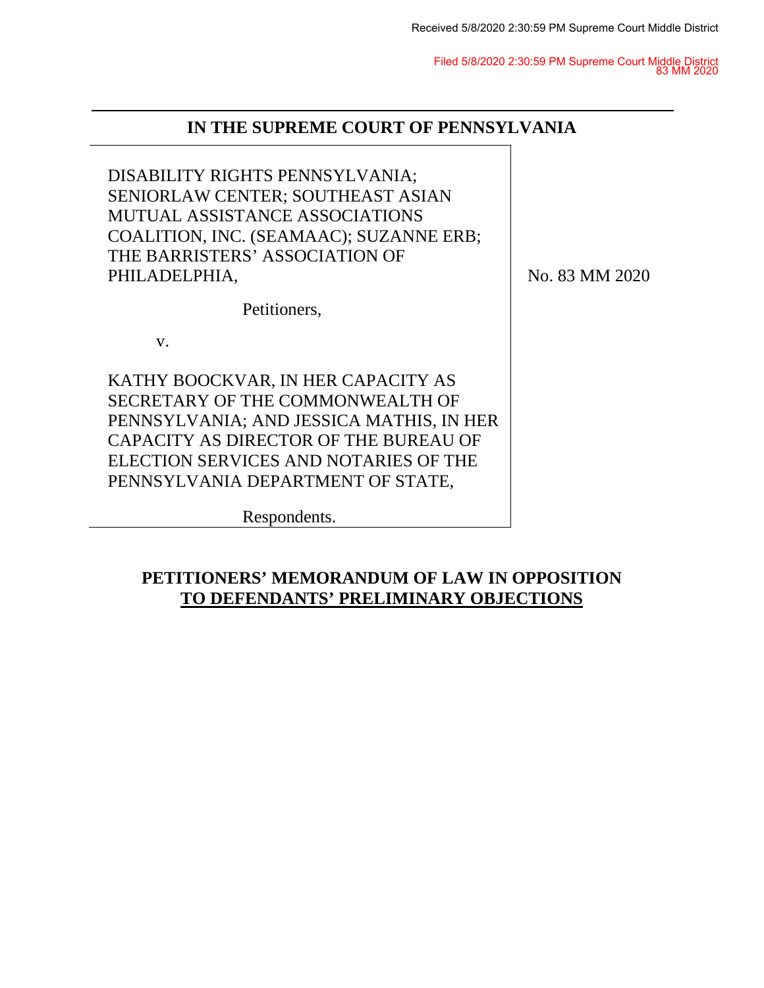Filed 5/8/2020 2:30:59 PM Supreme Court Middle District 83 MM 2020

## **IN THE SUPREME COURT OF PENNSYLVANIA**

DISABILITY RIGHTS PENNSYLVANIA; SENIORLAW CENTER; SOUTHEAST ASIAN MUTUAL ASSISTANCE ASSOCIATIONS COALITION, INC. (SEAMAAC); SUZANNE ERB; THE BARRISTERS' ASSOCIATION OF PHILADELPHIA, Petitioners, v. KATHY BOOCKVAR, IN HER CAPACITY AS SECRETARY OF THE COMMONWEALTH OF PENNSYLVANIA; AND JESSICA MATHIS, IN HER CAPACITY AS DIRECTOR OF THE BUREAU OF ELECTION SERVICES AND NOTARIES OF THE PENNSYLVANIA DEPARTMENT OF STATE, Respondents. No. 83 MM 2020

## **PETITIONERS' MEMORANDUM OF LAW IN OPPOSITION TO DEFENDANTS' PRELIMINARY OBJECTIONS**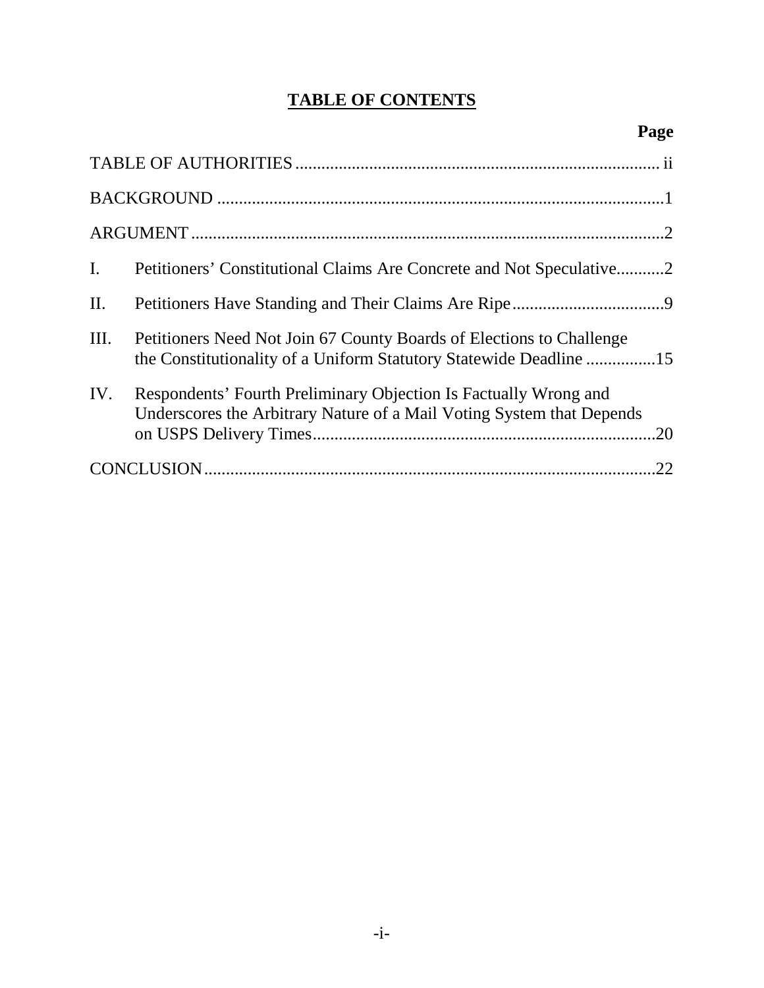# **TABLE OF CONTENTS**

| $\mathbf{I}$ .  | Petitioners' Constitutional Claims Are Concrete and Not Speculative2                                                                       |     |
|-----------------|--------------------------------------------------------------------------------------------------------------------------------------------|-----|
| $\mathbf{II}$ . |                                                                                                                                            |     |
| III.            | Petitioners Need Not Join 67 County Boards of Elections to Challenge<br>the Constitutionality of a Uniform Statutory Statewide Deadline 15 |     |
| IV.             | Respondents' Fourth Preliminary Objection Is Factually Wrong and<br>Underscores the Arbitrary Nature of a Mail Voting System that Depends  | .20 |
|                 |                                                                                                                                            | .22 |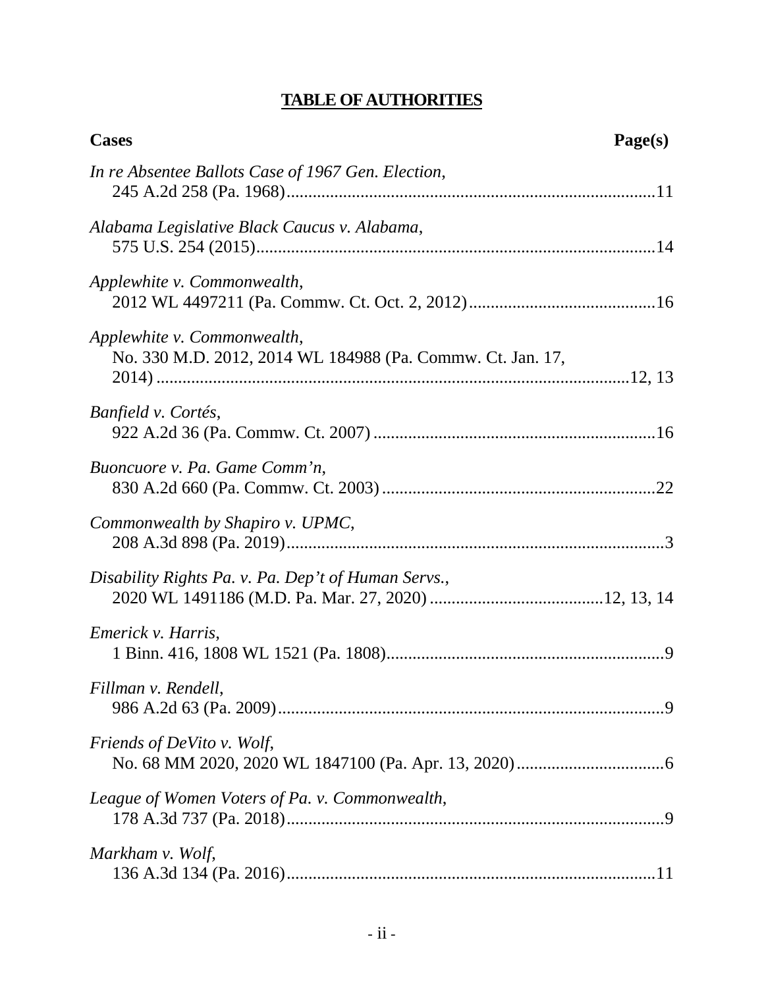# **TABLE OF AUTHORITIES**

<span id="page-2-0"></span>

| <b>Cases</b>                                                                              | Page(s) |
|-------------------------------------------------------------------------------------------|---------|
| In re Absentee Ballots Case of 1967 Gen. Election,                                        |         |
| Alabama Legislative Black Caucus v. Alabama,                                              |         |
| Applewhite v. Commonwealth,                                                               |         |
| Applewhite v. Commonwealth,<br>No. 330 M.D. 2012, 2014 WL 184988 (Pa. Commw. Ct. Jan. 17, |         |
| Banfield v. Cortés,                                                                       |         |
| Buoncuore v. Pa. Game Comm'n,                                                             |         |
| Commonwealth by Shapiro v. UPMC,                                                          |         |
| Disability Rights Pa. v. Pa. Dep't of Human Servs.,                                       |         |
| Emerick v. Harris,                                                                        |         |
| Fillman v. Rendell,                                                                       |         |
| <i>Friends of DeVito v. Wolf,</i>                                                         |         |
| League of Women Voters of Pa. v. Commonwealth,                                            |         |
| Markham v. Wolf,                                                                          |         |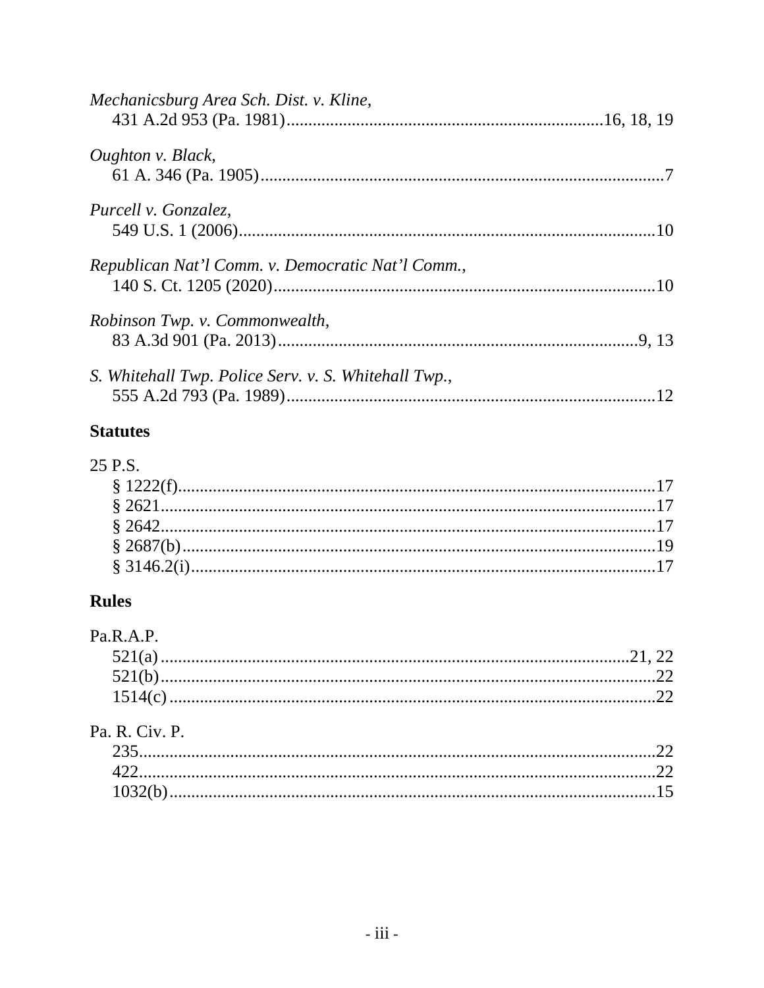| Mechanicsburg Area Sch. Dist. v. Kline,              |    |
|------------------------------------------------------|----|
| Oughton v. Black,                                    |    |
| Purcell v. Gonzalez,                                 |    |
| Republican Nat'l Comm. v. Democratic Nat'l Comm.,    |    |
| Robinson Twp. v. Commonwealth,                       |    |
| S. Whitehall Twp. Police Serv. v. S. Whitehall Twp., | 12 |

# **Statutes**

# 25 P.S.

# **Rules**

| Pa.R.A.P. |  |
|-----------|--|
|           |  |
|           |  |
|           |  |
|           |  |

# Pa. R. Civ. P.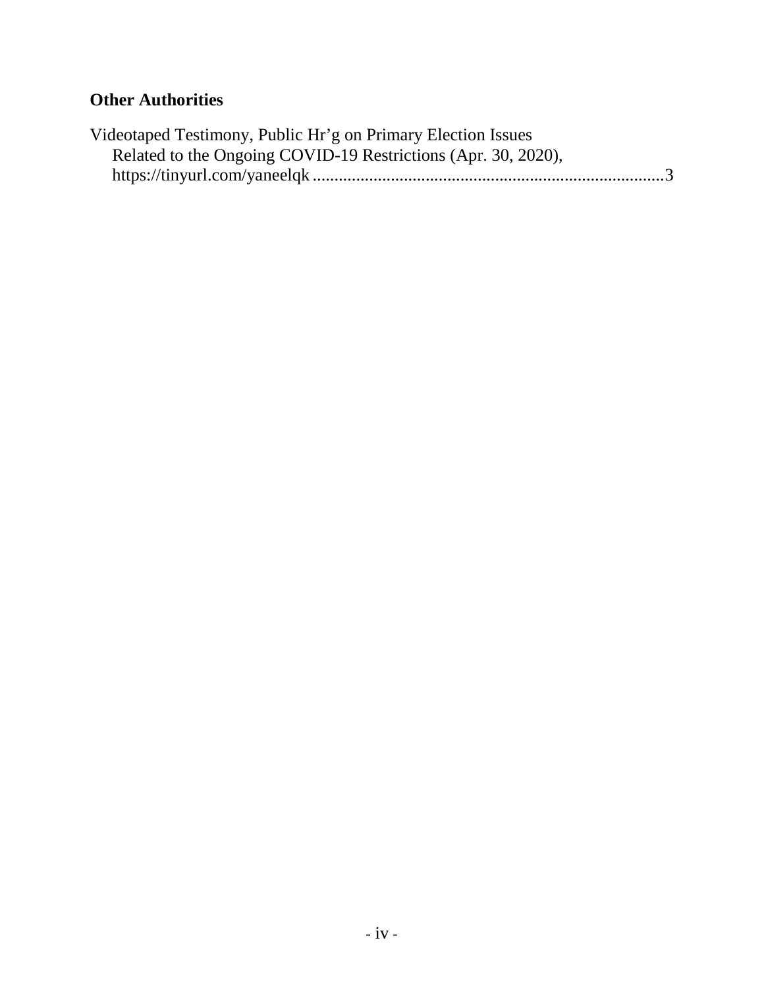# **Other Authorities**

| Videotaped Testimony, Public Hr'g on Primary Election Issues  |  |
|---------------------------------------------------------------|--|
| Related to the Ongoing COVID-19 Restrictions (Apr. 30, 2020), |  |
|                                                               |  |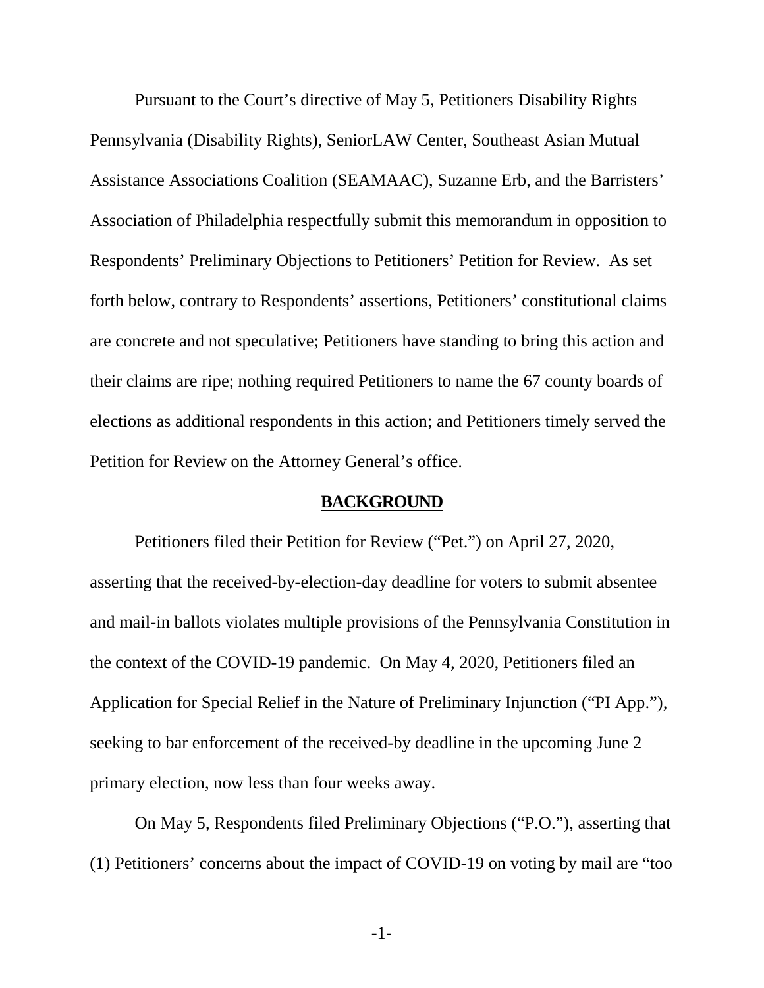Pursuant to the Court's directive of May 5, Petitioners Disability Rights Pennsylvania (Disability Rights), SeniorLAW Center, Southeast Asian Mutual Assistance Associations Coalition (SEAMAAC), Suzanne Erb, and the Barristers' Association of Philadelphia respectfully submit this memorandum in opposition to Respondents' Preliminary Objections to Petitioners' Petition for Review. As set forth below, contrary to Respondents' assertions, Petitioners' constitutional claims are concrete and not speculative; Petitioners have standing to bring this action and their claims are ripe; nothing required Petitioners to name the 67 county boards of elections as additional respondents in this action; and Petitioners timely served the Petition for Review on the Attorney General's office.

#### **BACKGROUND**

<span id="page-5-0"></span>Petitioners filed their Petition for Review ("Pet.") on April 27, 2020, asserting that the received-by-election-day deadline for voters to submit absentee and mail-in ballots violates multiple provisions of the Pennsylvania Constitution in the context of the COVID-19 pandemic. On May 4, 2020, Petitioners filed an Application for Special Relief in the Nature of Preliminary Injunction ("PI App."), seeking to bar enforcement of the received-by deadline in the upcoming June 2 primary election, now less than four weeks away.

On May 5, Respondents filed Preliminary Objections ("P.O."), asserting that (1) Petitioners' concerns about the impact of COVID-19 on voting by mail are "too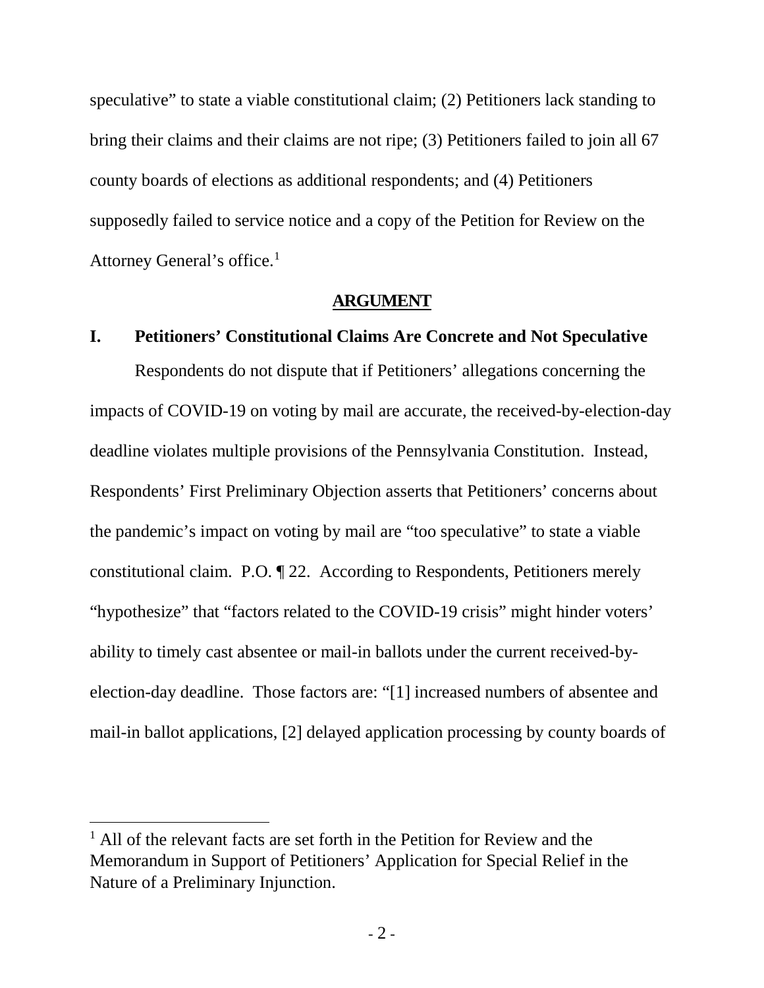speculative" to state a viable constitutional claim; (2) Petitioners lack standing to bring their claims and their claims are not ripe; (3) Petitioners failed to join all 67 county boards of elections as additional respondents; and (4) Petitioners supposedly failed to service notice and a copy of the Petition for Review on the Attorney General's office.[1](#page-6-2)

#### **ARGUMENT**

### <span id="page-6-1"></span><span id="page-6-0"></span>**I. Petitioners' Constitutional Claims Are Concrete and Not Speculative**

Respondents do not dispute that if Petitioners' allegations concerning the impacts of COVID-19 on voting by mail are accurate, the received-by-election-day deadline violates multiple provisions of the Pennsylvania Constitution. Instead, Respondents' First Preliminary Objection asserts that Petitioners' concerns about the pandemic's impact on voting by mail are "too speculative" to state a viable constitutional claim. P.O. ¶ 22. According to Respondents, Petitioners merely "hypothesize" that "factors related to the COVID-19 crisis" might hinder voters' ability to timely cast absentee or mail-in ballots under the current received-byelection-day deadline. Those factors are: "[1] increased numbers of absentee and mail-in ballot applications, [2] delayed application processing by county boards of

<span id="page-6-2"></span> $<sup>1</sup>$  All of the relevant facts are set forth in the Petition for Review and the</sup> Memorandum in Support of Petitioners' Application for Special Relief in the Nature of a Preliminary Injunction.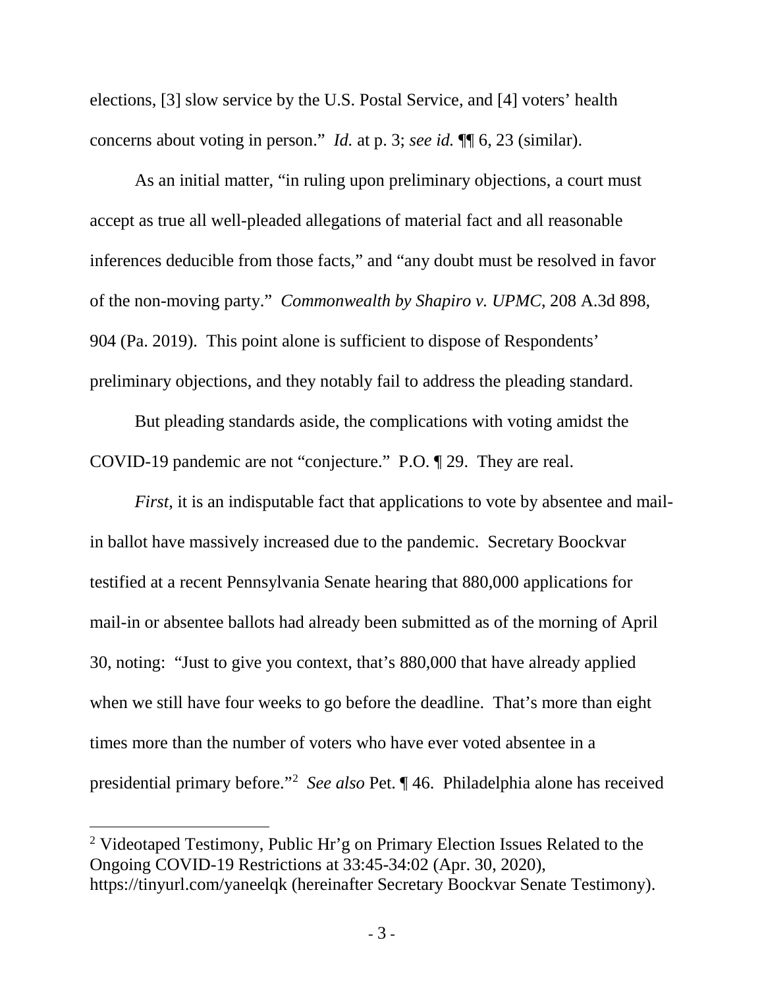elections, [3] slow service by the U.S. Postal Service, and [4] voters' health concerns about voting in person." *Id.* at p. 3; *see id.* ¶¶ 6, 23 (similar).

As an initial matter, "in ruling upon preliminary objections, a court must accept as true all well-pleaded allegations of material fact and all reasonable inferences deducible from those facts," and "any doubt must be resolved in favor of the non-moving party." *Commonwealth by Shapiro v. UPMC*, 208 A.3d 898, 904 (Pa. 2019). This point alone is sufficient to dispose of Respondents' preliminary objections, and they notably fail to address the pleading standard.

But pleading standards aside, the complications with voting amidst the COVID-19 pandemic are not "conjecture." P.O. ¶ 29. They are real.

*First*, it is an indisputable fact that applications to vote by absentee and mailin ballot have massively increased due to the pandemic. Secretary Boockvar testified at a recent Pennsylvania Senate hearing that 880,000 applications for mail-in or absentee ballots had already been submitted as of the morning of April 30, noting: "Just to give you context, that's 880,000 that have already applied when we still have four weeks to go before the deadline. That's more than eight times more than the number of voters who have ever voted absentee in a presidential primary before."[2](#page-7-0) *See also* Pet. ¶ 46. Philadelphia alone has received

<span id="page-7-0"></span> <sup>2</sup> Videotaped Testimony, Public Hr'g on Primary Election Issues Related to the Ongoing COVID-19 Restrictions at 33:45-34:02 (Apr. 30, 2020), https://tinyurl.com/yaneelqk (hereinafter Secretary Boockvar Senate Testimony).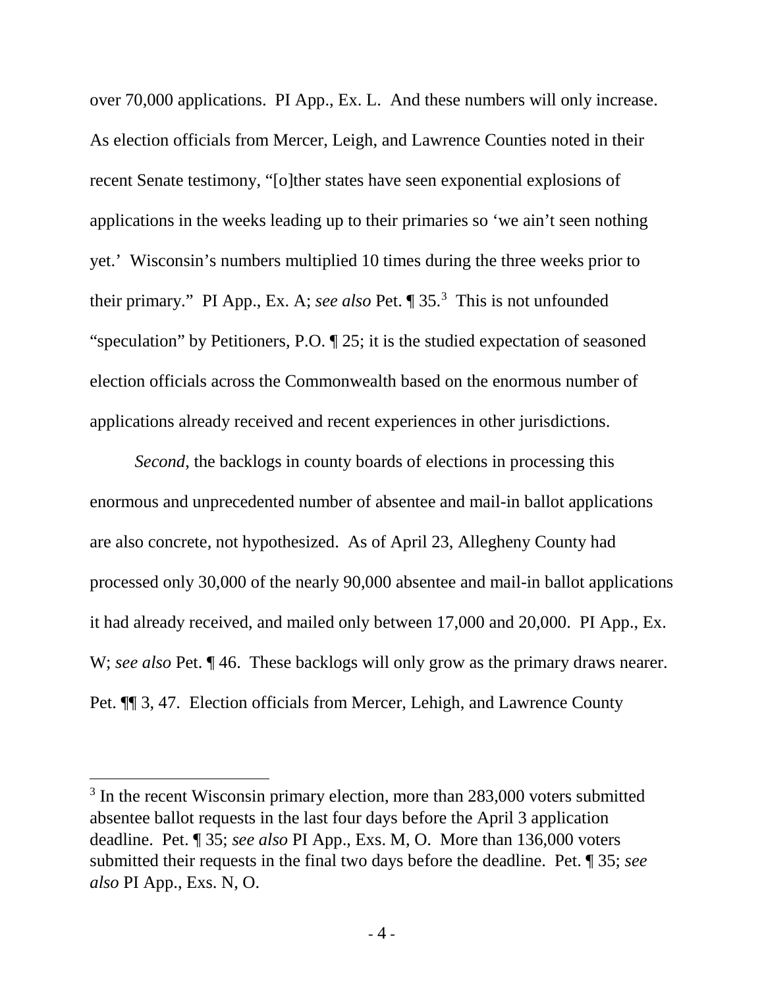over 70,000 applications. PI App., Ex. L. And these numbers will only increase. As election officials from Mercer, Leigh, and Lawrence Counties noted in their recent Senate testimony, "[o]ther states have seen exponential explosions of applications in the weeks leading up to their primaries so 'we ain't seen nothing yet.' Wisconsin's numbers multiplied 10 times during the three weeks prior to their primary." PI App., Ex. A; *see also* Pet. ¶ 35.[3](#page-8-0) This is not unfounded "speculation" by Petitioners, P.O. ¶ 25; it is the studied expectation of seasoned election officials across the Commonwealth based on the enormous number of applications already received and recent experiences in other jurisdictions.

*Second*, the backlogs in county boards of elections in processing this enormous and unprecedented number of absentee and mail-in ballot applications are also concrete, not hypothesized. As of April 23, Allegheny County had processed only 30,000 of the nearly 90,000 absentee and mail-in ballot applications it had already received, and mailed only between 17,000 and 20,000. PI App., Ex. W; *see also* Pet. 146. These backlogs will only grow as the primary draws nearer. Pet. ¶¶ 3, 47. Election officials from Mercer, Lehigh, and Lawrence County

<span id="page-8-0"></span><sup>&</sup>lt;sup>3</sup> In the recent Wisconsin primary election, more than 283,000 voters submitted absentee ballot requests in the last four days before the April 3 application deadline. Pet. ¶ 35; *see also* PI App., Exs. M, O. More than 136,000 voters submitted their requests in the final two days before the deadline. Pet. ¶ 35; *see also* PI App., Exs. N, O.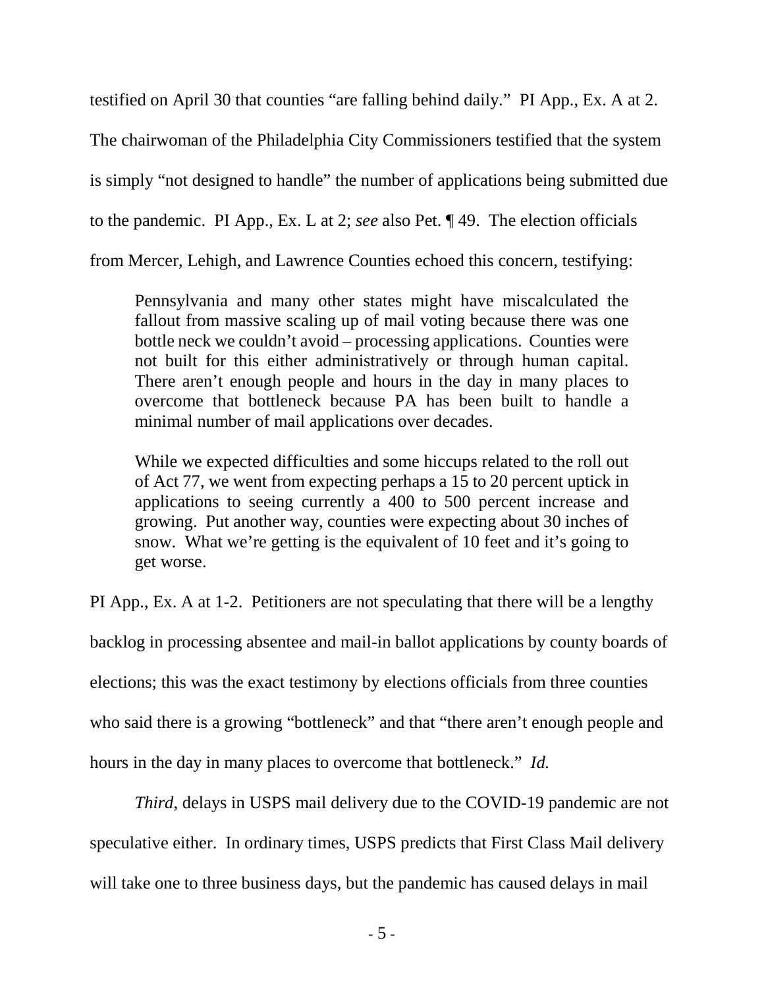testified on April 30 that counties "are falling behind daily." PI App., Ex. A at 2. The chairwoman of the Philadelphia City Commissioners testified that the system is simply "not designed to handle" the number of applications being submitted due to the pandemic. PI App., Ex. L at 2; *see* also Pet. ¶ 49. The election officials from Mercer, Lehigh, and Lawrence Counties echoed this concern, testifying:

Pennsylvania and many other states might have miscalculated the fallout from massive scaling up of mail voting because there was one bottle neck we couldn't avoid – processing applications. Counties were not built for this either administratively or through human capital. There aren't enough people and hours in the day in many places to overcome that bottleneck because PA has been built to handle a minimal number of mail applications over decades.

While we expected difficulties and some hiccups related to the roll out of Act 77, we went from expecting perhaps a 15 to 20 percent uptick in applications to seeing currently a 400 to 500 percent increase and growing. Put another way, counties were expecting about 30 inches of snow. What we're getting is the equivalent of 10 feet and it's going to get worse.

PI App., Ex. A at 1-2. Petitioners are not speculating that there will be a lengthy

backlog in processing absentee and mail-in ballot applications by county boards of

elections; this was the exact testimony by elections officials from three counties

who said there is a growing "bottleneck" and that "there aren't enough people and

hours in the day in many places to overcome that bottleneck." *Id.*

*Third*, delays in USPS mail delivery due to the COVID-19 pandemic are not speculative either. In ordinary times, USPS predicts that First Class Mail delivery will take one to three business days, but the pandemic has caused delays in mail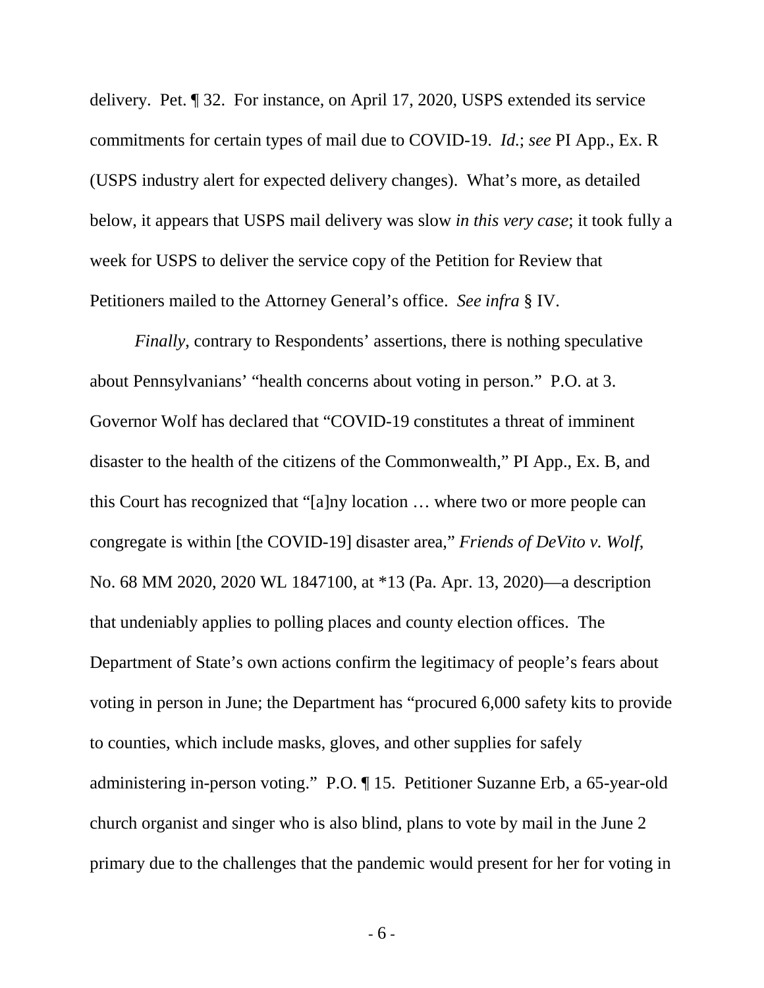delivery. Pet. ¶ 32. For instance, on April 17, 2020, USPS extended its service commitments for certain types of mail due to COVID-19. *Id.*; *see* PI App., Ex. R (USPS industry alert for expected delivery changes). What's more, as detailed below, it appears that USPS mail delivery was slow *in this very case*; it took fully a week for USPS to deliver the service copy of the Petition for Review that Petitioners mailed to the Attorney General's office. *See infra* § IV.

*Finally*, contrary to Respondents' assertions, there is nothing speculative about Pennsylvanians' "health concerns about voting in person." P.O. at 3. Governor Wolf has declared that "COVID-19 constitutes a threat of imminent disaster to the health of the citizens of the Commonwealth," PI App., Ex. B, and this Court has recognized that "[a]ny location … where two or more people can congregate is within [the COVID-19] disaster area," *Friends of DeVito v. Wolf*, No. 68 MM 2020, 2020 WL 1847100, at \*13 (Pa. Apr. 13, 2020)—a description that undeniably applies to polling places and county election offices. The Department of State's own actions confirm the legitimacy of people's fears about voting in person in June; the Department has "procured 6,000 safety kits to provide to counties, which include masks, gloves, and other supplies for safely administering in-person voting." P.O. ¶ 15. Petitioner Suzanne Erb, a 65-year-old church organist and singer who is also blind, plans to vote by mail in the June 2 primary due to the challenges that the pandemic would present for her for voting in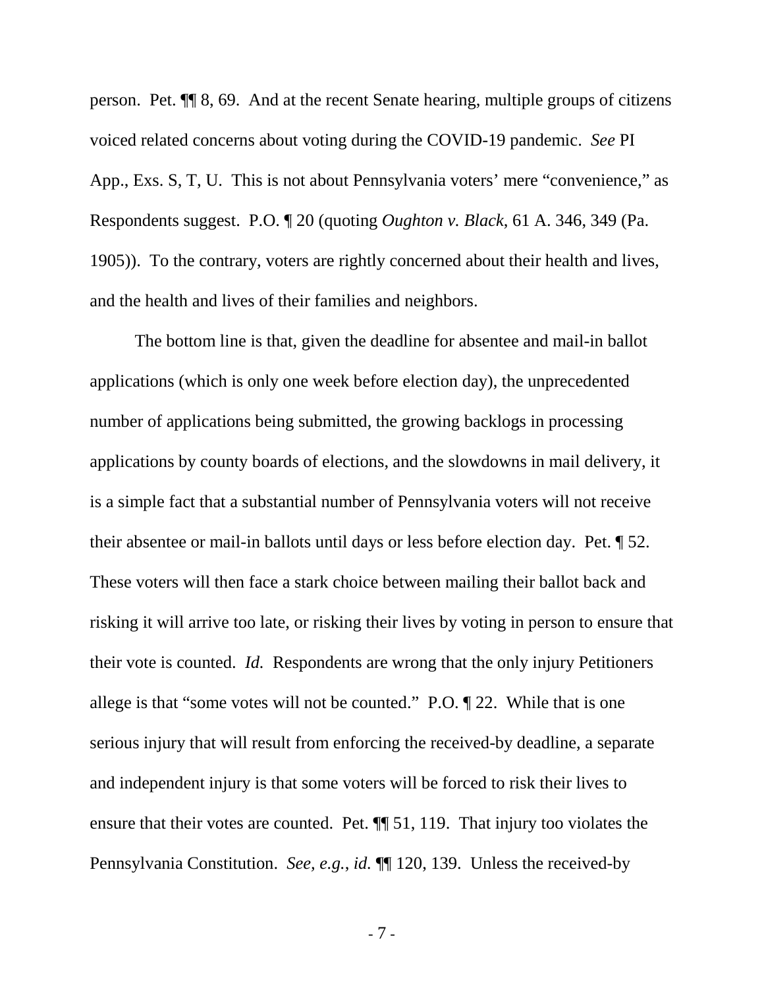person. Pet. ¶¶ 8, 69. And at the recent Senate hearing, multiple groups of citizens voiced related concerns about voting during the COVID-19 pandemic. *See* PI App., Exs. S, T, U. This is not about Pennsylvania voters' mere "convenience," as Respondents suggest. P.O. ¶ 20 (quoting *Oughton v. Black*, 61 A. 346, 349 (Pa. 1905)). To the contrary, voters are rightly concerned about their health and lives, and the health and lives of their families and neighbors.

The bottom line is that, given the deadline for absentee and mail-in ballot applications (which is only one week before election day), the unprecedented number of applications being submitted, the growing backlogs in processing applications by county boards of elections, and the slowdowns in mail delivery, it is a simple fact that a substantial number of Pennsylvania voters will not receive their absentee or mail-in ballots until days or less before election day. Pet. ¶ 52. These voters will then face a stark choice between mailing their ballot back and risking it will arrive too late, or risking their lives by voting in person to ensure that their vote is counted. *Id.* Respondents are wrong that the only injury Petitioners allege is that "some votes will not be counted." P.O. ¶ 22. While that is one serious injury that will result from enforcing the received-by deadline, a separate and independent injury is that some voters will be forced to risk their lives to ensure that their votes are counted. Pet. ¶¶ 51, 119. That injury too violates the Pennsylvania Constitution. *See, e.g.*, *id.* ¶¶ 120, 139. Unless the received-by

- 7 -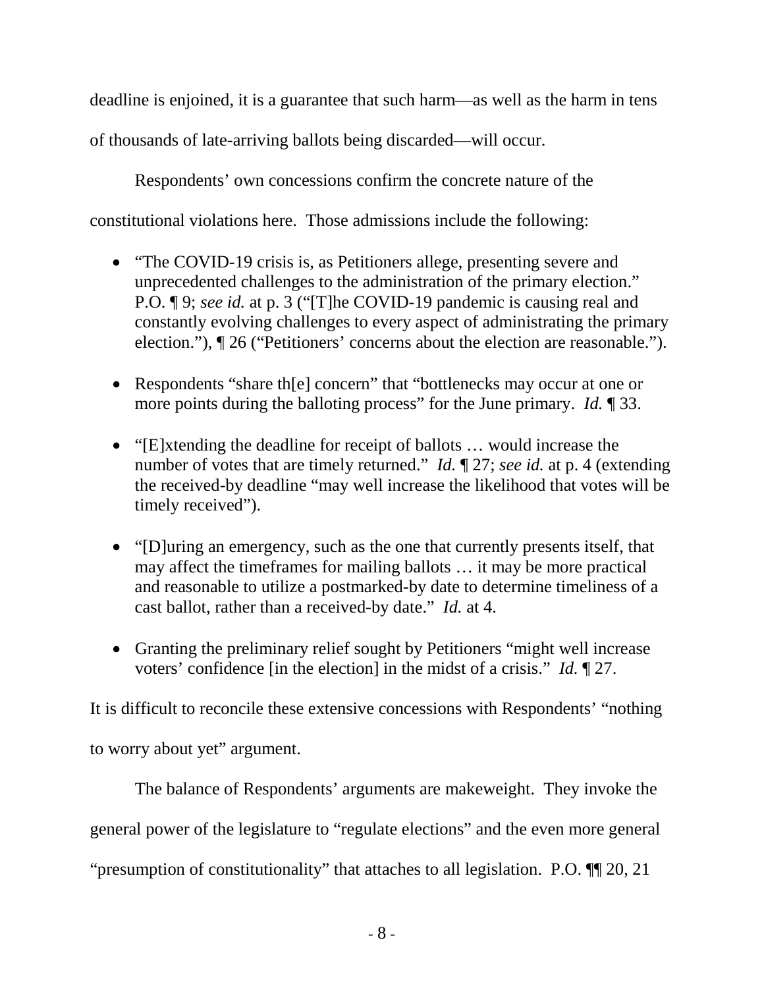deadline is enjoined, it is a guarantee that such harm—as well as the harm in tens

of thousands of late-arriving ballots being discarded—will occur.

Respondents' own concessions confirm the concrete nature of the

constitutional violations here. Those admissions include the following:

- "The COVID-19 crisis is, as Petitioners allege, presenting severe and unprecedented challenges to the administration of the primary election." P.O. ¶ 9; *see id.* at p. 3 ("[T]he COVID-19 pandemic is causing real and constantly evolving challenges to every aspect of administrating the primary election."), ¶ 26 ("Petitioners' concerns about the election are reasonable.").
- Respondents "share the concern" that "bottlenecks may occur at one or more points during the balloting process" for the June primary. *Id.* ¶ 33.
- "[E]xtending the deadline for receipt of ballots ... would increase the number of votes that are timely returned." *Id.* ¶ 27; *see id.* at p. 4 (extending the received-by deadline "may well increase the likelihood that votes will be timely received").
- "[D]uring an emergency, such as the one that currently presents itself, that may affect the timeframes for mailing ballots … it may be more practical and reasonable to utilize a postmarked-by date to determine timeliness of a cast ballot, rather than a received-by date." *Id.* at 4.
- Granting the preliminary relief sought by Petitioners "might well increase voters' confidence [in the election] in the midst of a crisis." *Id.* ¶ 27.

It is difficult to reconcile these extensive concessions with Respondents' "nothing to worry about yet" argument.

The balance of Respondents' arguments are makeweight. They invoke the general power of the legislature to "regulate elections" and the even more general "presumption of constitutionality" that attaches to all legislation. P.O. ¶¶ 20, 21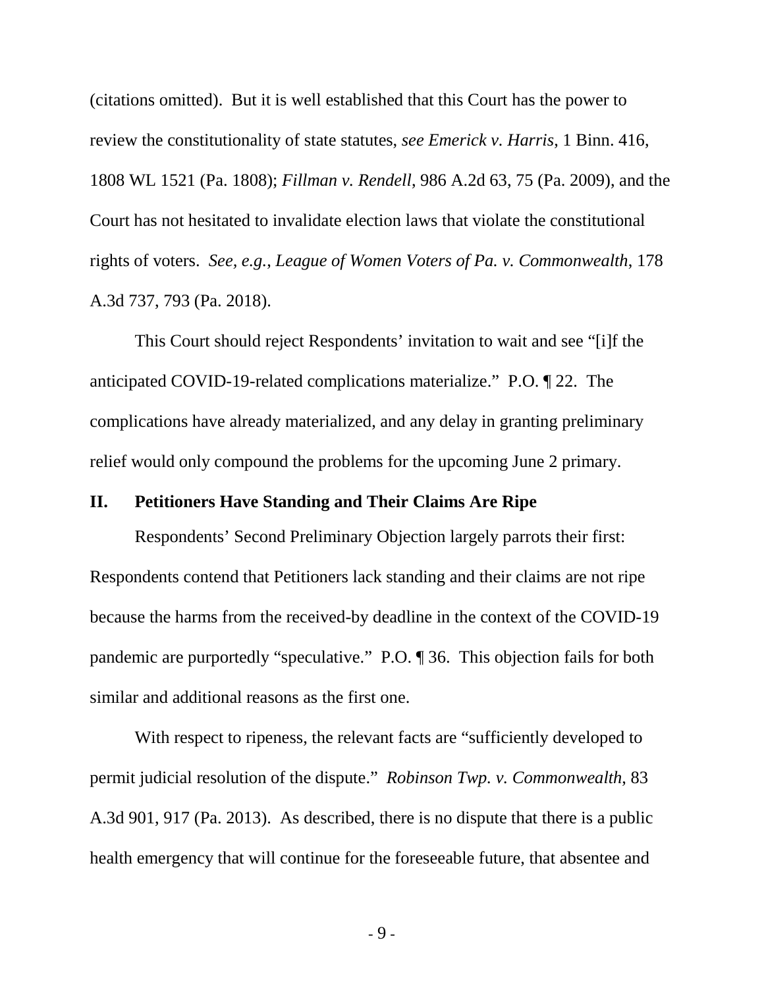(citations omitted). But it is well established that this Court has the power to review the constitutionality of state statutes, *see Emerick v. Harris*, 1 Binn. 416, 1808 WL 1521 (Pa. 1808); *Fillman v. Rendell*, 986 A.2d 63, 75 (Pa. 2009), and the Court has not hesitated to invalidate election laws that violate the constitutional rights of voters. *See, e.g.*, *League of Women Voters of Pa. v. Commonwealth*, 178 A.3d 737, 793 (Pa. 2018).

This Court should reject Respondents' invitation to wait and see "[i]f the anticipated COVID-19-related complications materialize." P.O. ¶ 22. The complications have already materialized, and any delay in granting preliminary relief would only compound the problems for the upcoming June 2 primary.

### <span id="page-13-0"></span>**II. Petitioners Have Standing and Their Claims Are Ripe**

Respondents' Second Preliminary Objection largely parrots their first: Respondents contend that Petitioners lack standing and their claims are not ripe because the harms from the received-by deadline in the context of the COVID-19 pandemic are purportedly "speculative." P.O. ¶ 36. This objection fails for both similar and additional reasons as the first one.

With respect to ripeness, the relevant facts are "sufficiently developed to permit judicial resolution of the dispute." *Robinson Twp. v. Commonwealth*, 83 A.3d 901, 917 (Pa. 2013). As described, there is no dispute that there is a public health emergency that will continue for the foreseeable future, that absentee and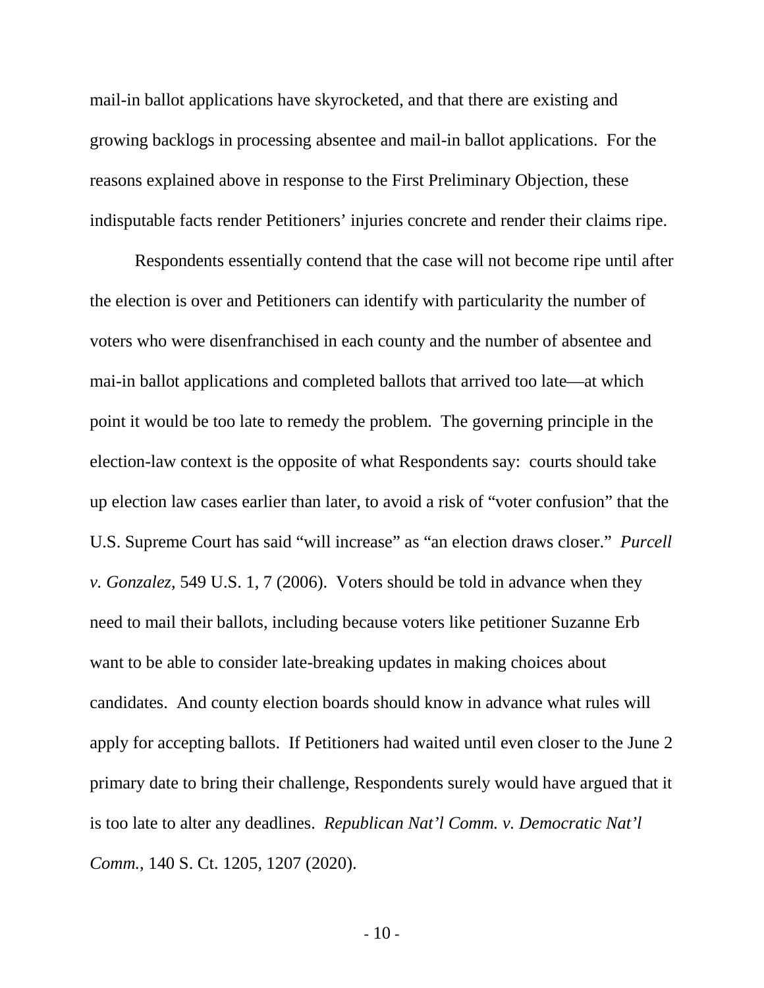mail-in ballot applications have skyrocketed, and that there are existing and growing backlogs in processing absentee and mail-in ballot applications. For the reasons explained above in response to the First Preliminary Objection, these indisputable facts render Petitioners' injuries concrete and render their claims ripe.

Respondents essentially contend that the case will not become ripe until after the election is over and Petitioners can identify with particularity the number of voters who were disenfranchised in each county and the number of absentee and mai-in ballot applications and completed ballots that arrived too late—at which point it would be too late to remedy the problem. The governing principle in the election-law context is the opposite of what Respondents say: courts should take up election law cases earlier than later, to avoid a risk of "voter confusion" that the U.S. Supreme Court has said "will increase" as "an election draws closer." *Purcell v. Gonzalez*, 549 U.S. 1, 7 (2006). Voters should be told in advance when they need to mail their ballots, including because voters like petitioner Suzanne Erb want to be able to consider late-breaking updates in making choices about candidates. And county election boards should know in advance what rules will apply for accepting ballots. If Petitioners had waited until even closer to the June 2 primary date to bring their challenge, Respondents surely would have argued that it is too late to alter any deadlines. *Republican Nat'l Comm. v. Democratic Nat'l Comm.*, 140 S. Ct. 1205, 1207 (2020).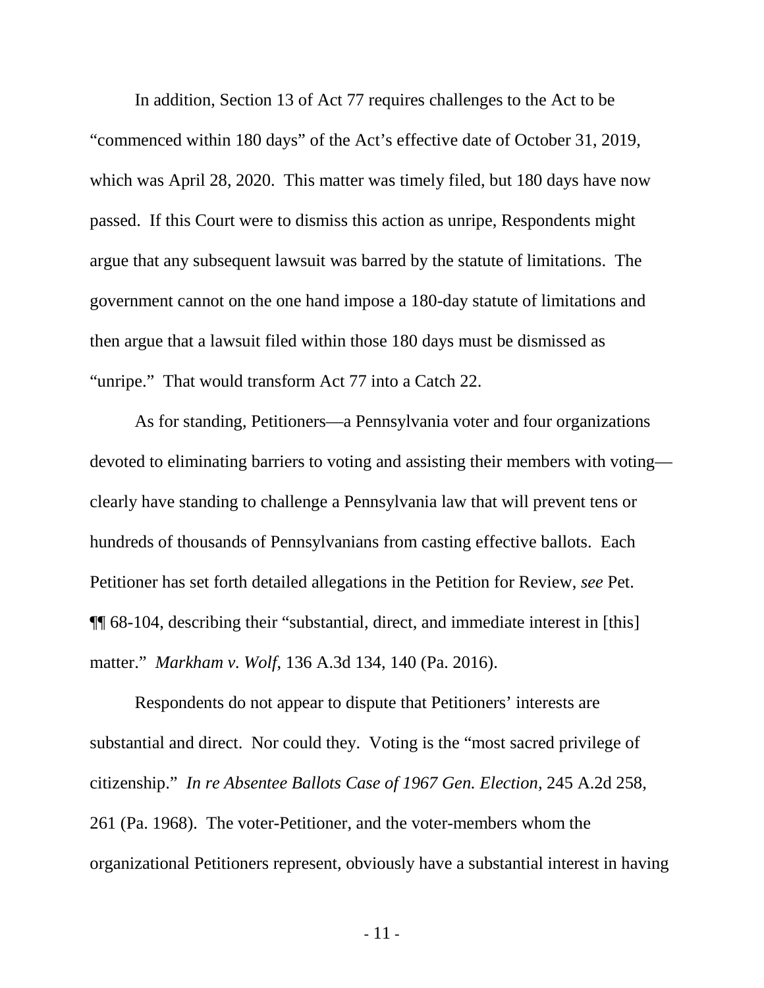In addition, Section 13 of Act 77 requires challenges to the Act to be "commenced within 180 days" of the Act's effective date of October 31, 2019, which was April 28, 2020. This matter was timely filed, but 180 days have now passed. If this Court were to dismiss this action as unripe, Respondents might argue that any subsequent lawsuit was barred by the statute of limitations. The government cannot on the one hand impose a 180-day statute of limitations and then argue that a lawsuit filed within those 180 days must be dismissed as "unripe." That would transform Act 77 into a Catch 22.

As for standing, Petitioners—a Pennsylvania voter and four organizations devoted to eliminating barriers to voting and assisting their members with voting clearly have standing to challenge a Pennsylvania law that will prevent tens or hundreds of thousands of Pennsylvanians from casting effective ballots. Each Petitioner has set forth detailed allegations in the Petition for Review, *see* Pet. ¶¶ 68-104, describing their "substantial, direct, and immediate interest in [this] matter." *Markham v. Wolf*, 136 A.3d 134, 140 (Pa. 2016).

Respondents do not appear to dispute that Petitioners' interests are substantial and direct. Nor could they. Voting is the "most sacred privilege of citizenship." *In re Absentee Ballots Case of 1967 Gen. Election,* 245 A.2d 258, 261 (Pa. 1968). The voter-Petitioner, and the voter-members whom the organizational Petitioners represent, obviously have a substantial interest in having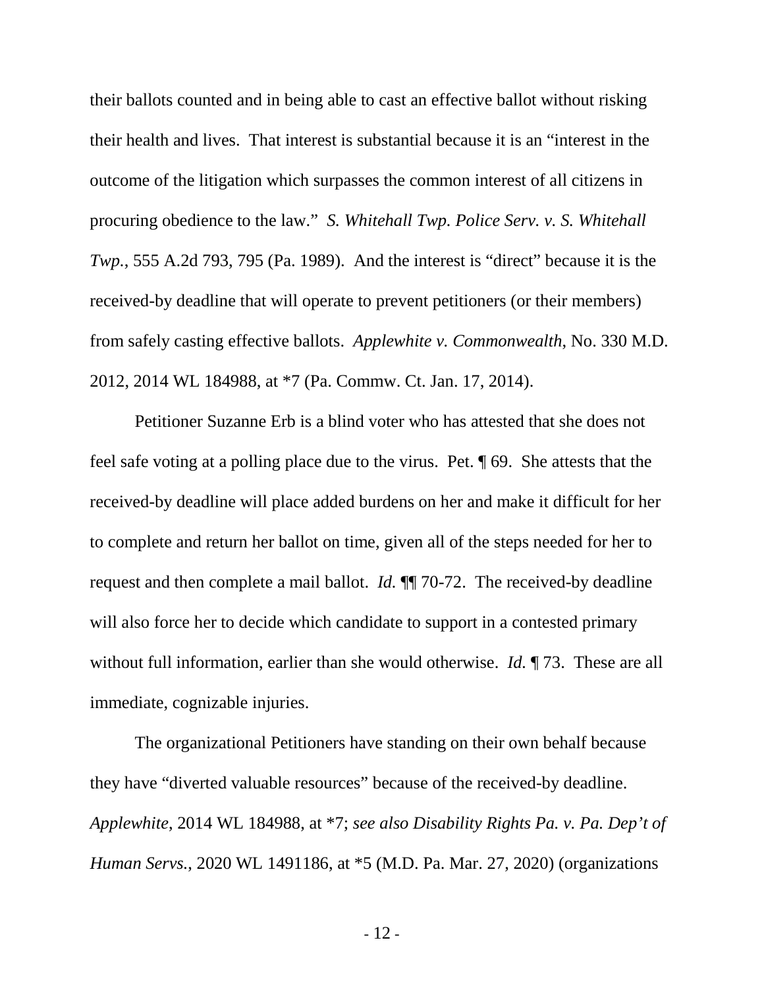their ballots counted and in being able to cast an effective ballot without risking their health and lives. That interest is substantial because it is an "interest in the outcome of the litigation which surpasses the common interest of all citizens in procuring obedience to the law." *S. Whitehall Twp. Police Serv. v. S. Whitehall Twp.*, 555 A.2d 793, 795 (Pa. 1989). And the interest is "direct" because it is the received-by deadline that will operate to prevent petitioners (or their members) from safely casting effective ballots. *Applewhite v. Commonwealth*, No. 330 M.D. 2012, 2014 WL 184988, at \*7 (Pa. Commw. Ct. Jan. 17, 2014).

Petitioner Suzanne Erb is a blind voter who has attested that she does not feel safe voting at a polling place due to the virus. Pet. ¶ 69. She attests that the received-by deadline will place added burdens on her and make it difficult for her to complete and return her ballot on time, given all of the steps needed for her to request and then complete a mail ballot. *Id.* ¶¶ 70-72. The received-by deadline will also force her to decide which candidate to support in a contested primary without full information, earlier than she would otherwise. *Id.* ¶ 73. These are all immediate, cognizable injuries.

The organizational Petitioners have standing on their own behalf because they have "diverted valuable resources" because of the received-by deadline. *Applewhite*, 2014 WL 184988, at \*7; *see also Disability Rights Pa. v. Pa. Dep't of Human Servs.*, 2020 WL 1491186, at \*5 (M.D. Pa. Mar. 27, 2020) (organizations

- 12 -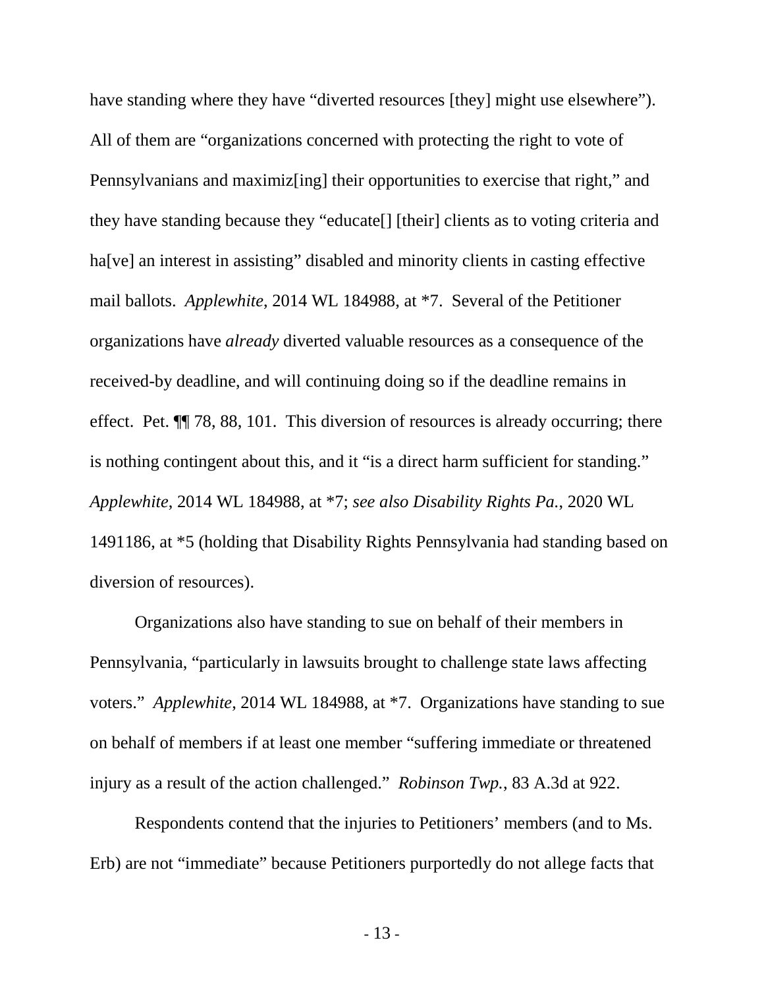have standing where they have "diverted resources [they] might use elsewhere"). All of them are "organizations concerned with protecting the right to vote of Pennsylvanians and maximiz[ing] their opportunities to exercise that right," and they have standing because they "educate[] [their] clients as to voting criteria and ha<sup>[ve]</sup> an interest in assisting" disabled and minority clients in casting effective mail ballots. *Applewhite*, 2014 WL 184988, at \*7. Several of the Petitioner organizations have *already* diverted valuable resources as a consequence of the received-by deadline, and will continuing doing so if the deadline remains in effect. Pet. ¶¶ 78, 88, 101. This diversion of resources is already occurring; there is nothing contingent about this, and it "is a direct harm sufficient for standing." *Applewhite*, 2014 WL 184988, at \*7; *see also Disability Rights Pa.*, 2020 WL 1491186, at \*5 (holding that Disability Rights Pennsylvania had standing based on diversion of resources).

Organizations also have standing to sue on behalf of their members in Pennsylvania, "particularly in lawsuits brought to challenge state laws affecting voters." *Applewhite*, 2014 WL 184988, at \*7. Organizations have standing to sue on behalf of members if at least one member "suffering immediate or threatened injury as a result of the action challenged." *Robinson Twp.*, 83 A.3d at 922.

Respondents contend that the injuries to Petitioners' members (and to Ms. Erb) are not "immediate" because Petitioners purportedly do not allege facts that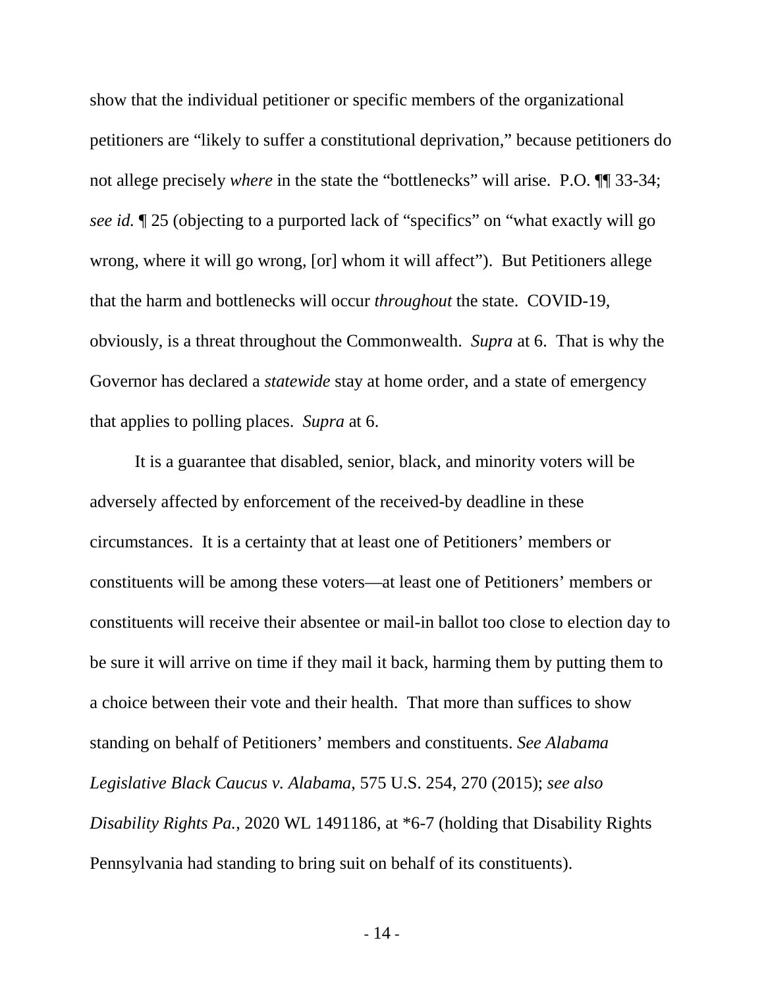show that the individual petitioner or specific members of the organizational petitioners are "likely to suffer a constitutional deprivation," because petitioners do not allege precisely *where* in the state the "bottlenecks" will arise. P.O. ¶¶ 33-34; *see id.* ¶ 25 (objecting to a purported lack of "specifics" on "what exactly will go wrong, where it will go wrong, [or] whom it will affect"). But Petitioners allege that the harm and bottlenecks will occur *throughout* the state. COVID-19, obviously, is a threat throughout the Commonwealth. *Supra* at 6. That is why the Governor has declared a *statewide* stay at home order, and a state of emergency that applies to polling places. *Supra* at 6.

It is a guarantee that disabled, senior, black, and minority voters will be adversely affected by enforcement of the received-by deadline in these circumstances. It is a certainty that at least one of Petitioners' members or constituents will be among these voters—at least one of Petitioners' members or constituents will receive their absentee or mail-in ballot too close to election day to be sure it will arrive on time if they mail it back, harming them by putting them to a choice between their vote and their health. That more than suffices to show standing on behalf of Petitioners' members and constituents. *See Alabama Legislative Black Caucus v. Alabama*, 575 U.S. 254, 270 (2015); *see also Disability Rights Pa.*, 2020 WL 1491186, at \*6-7 (holding that Disability Rights Pennsylvania had standing to bring suit on behalf of its constituents).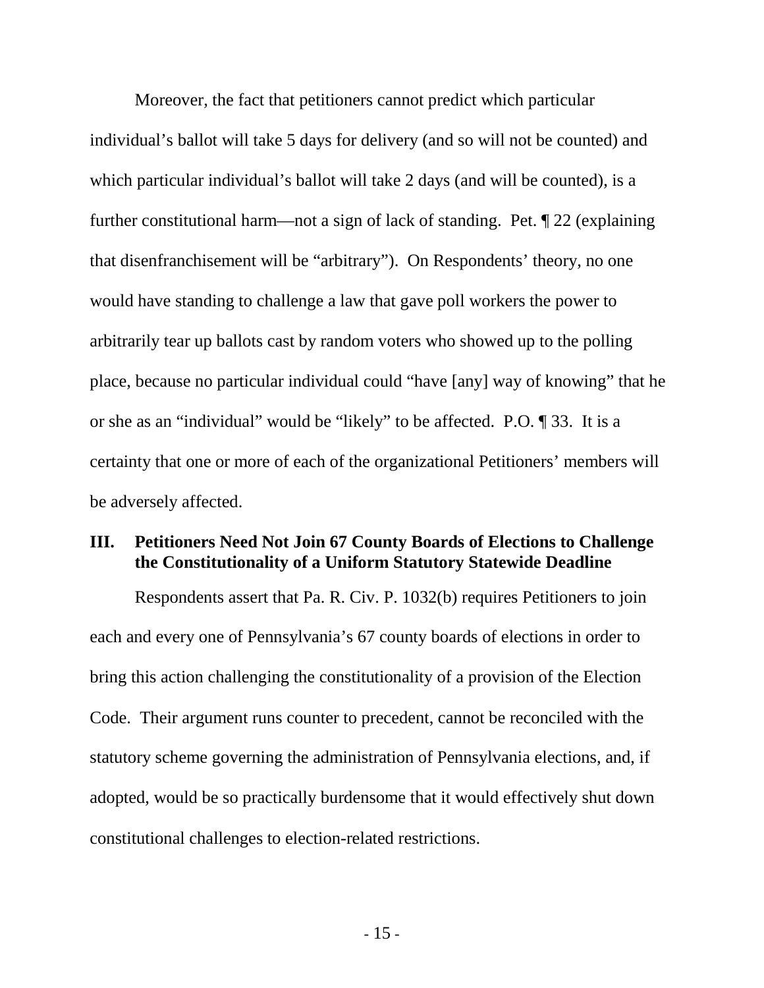Moreover, the fact that petitioners cannot predict which particular individual's ballot will take 5 days for delivery (and so will not be counted) and which particular individual's ballot will take 2 days (and will be counted), is a further constitutional harm—not a sign of lack of standing. Pet. ¶ 22 (explaining that disenfranchisement will be "arbitrary"). On Respondents' theory, no one would have standing to challenge a law that gave poll workers the power to arbitrarily tear up ballots cast by random voters who showed up to the polling place, because no particular individual could "have [any] way of knowing" that he or she as an "individual" would be "likely" to be affected. P.O. ¶ 33. It is a certainty that one or more of each of the organizational Petitioners' members will be adversely affected.

## <span id="page-19-0"></span>**III. Petitioners Need Not Join 67 County Boards of Elections to Challenge the Constitutionality of a Uniform Statutory Statewide Deadline**

Respondents assert that Pa. R. Civ. P. 1032(b) requires Petitioners to join each and every one of Pennsylvania's 67 county boards of elections in order to bring this action challenging the constitutionality of a provision of the Election Code. Their argument runs counter to precedent, cannot be reconciled with the statutory scheme governing the administration of Pennsylvania elections, and, if adopted, would be so practically burdensome that it would effectively shut down constitutional challenges to election-related restrictions.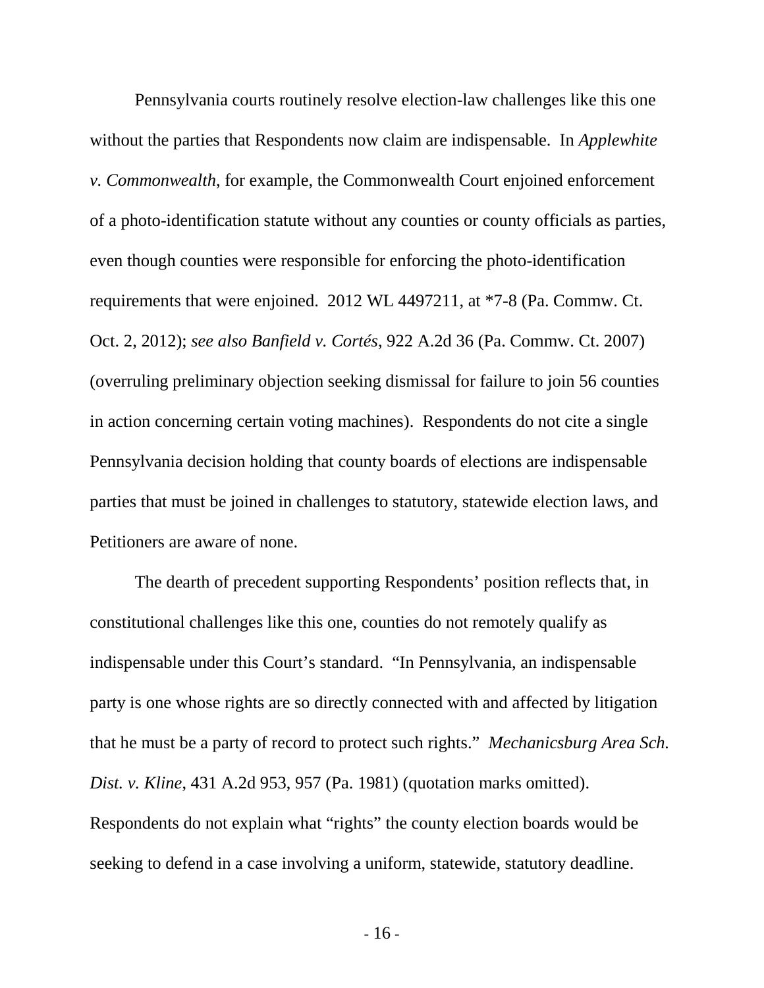Pennsylvania courts routinely resolve election-law challenges like this one without the parties that Respondents now claim are indispensable. In *Applewhite v. Commonwealth*, for example, the Commonwealth Court enjoined enforcement of a photo-identification statute without any counties or county officials as parties, even though counties were responsible for enforcing the photo-identification requirements that were enjoined. 2012 WL 4497211, at \*7-8 (Pa. Commw. Ct. Oct. 2, 2012); *see also Banfield v. Cortés*, 922 A.2d 36 (Pa. Commw. Ct. 2007) (overruling preliminary objection seeking dismissal for failure to join 56 counties in action concerning certain voting machines). Respondents do not cite a single Pennsylvania decision holding that county boards of elections are indispensable parties that must be joined in challenges to statutory, statewide election laws, and Petitioners are aware of none.

The dearth of precedent supporting Respondents' position reflects that, in constitutional challenges like this one, counties do not remotely qualify as indispensable under this Court's standard. "In Pennsylvania, an indispensable party is one whose rights are so directly connected with and affected by litigation that he must be a party of record to protect such rights." *Mechanicsburg Area Sch. Dist. v. Kline*, 431 A.2d 953, 957 (Pa. 1981) (quotation marks omitted). Respondents do not explain what "rights" the county election boards would be seeking to defend in a case involving a uniform, statewide, statutory deadline.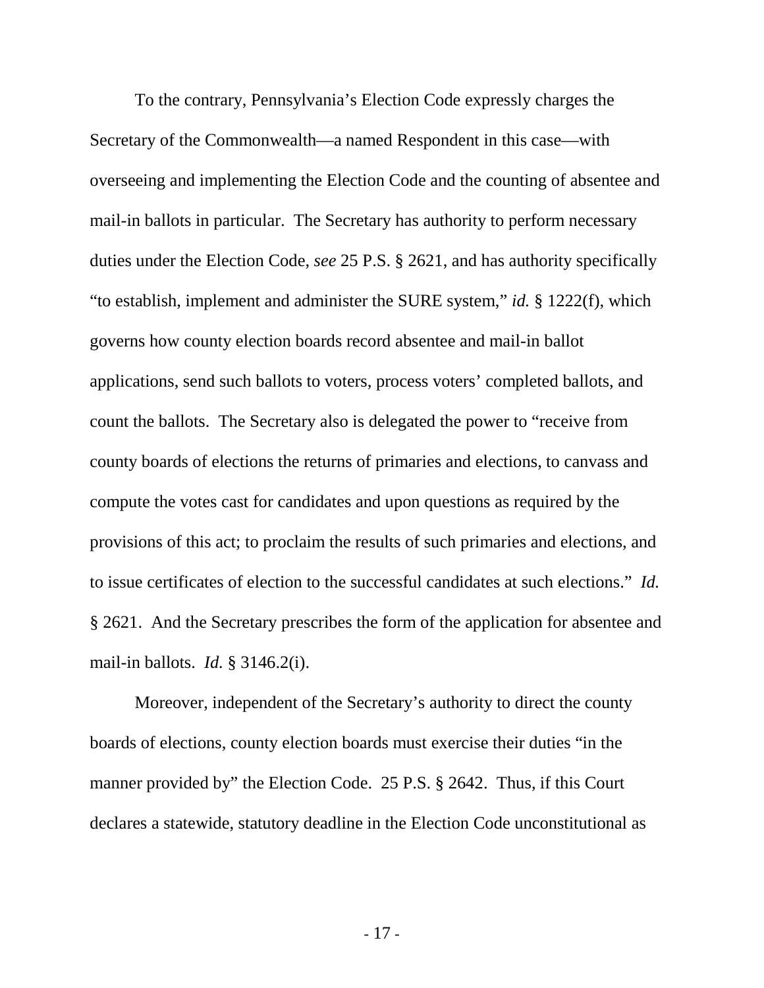To the contrary, Pennsylvania's Election Code expressly charges the Secretary of the Commonwealth—a named Respondent in this case—with overseeing and implementing the Election Code and the counting of absentee and mail-in ballots in particular. The Secretary has authority to perform necessary duties under the Election Code, *see* 25 P.S. § 2621, and has authority specifically "to establish, implement and administer the SURE system," *id.* § 1222(f), which governs how county election boards record absentee and mail-in ballot applications, send such ballots to voters, process voters' completed ballots, and count the ballots. The Secretary also is delegated the power to "receive from county boards of elections the returns of primaries and elections, to canvass and compute the votes cast for candidates and upon questions as required by the provisions of this act; to proclaim the results of such primaries and elections, and to issue certificates of election to the successful candidates at such elections." *Id.* § 2621. And the Secretary prescribes the form of the application for absentee and mail-in ballots. *Id.* § 3146.2(i).

Moreover, independent of the Secretary's authority to direct the county boards of elections, county election boards must exercise their duties "in the manner provided by" the Election Code. 25 P.S. § 2642. Thus, if this Court declares a statewide, statutory deadline in the Election Code unconstitutional as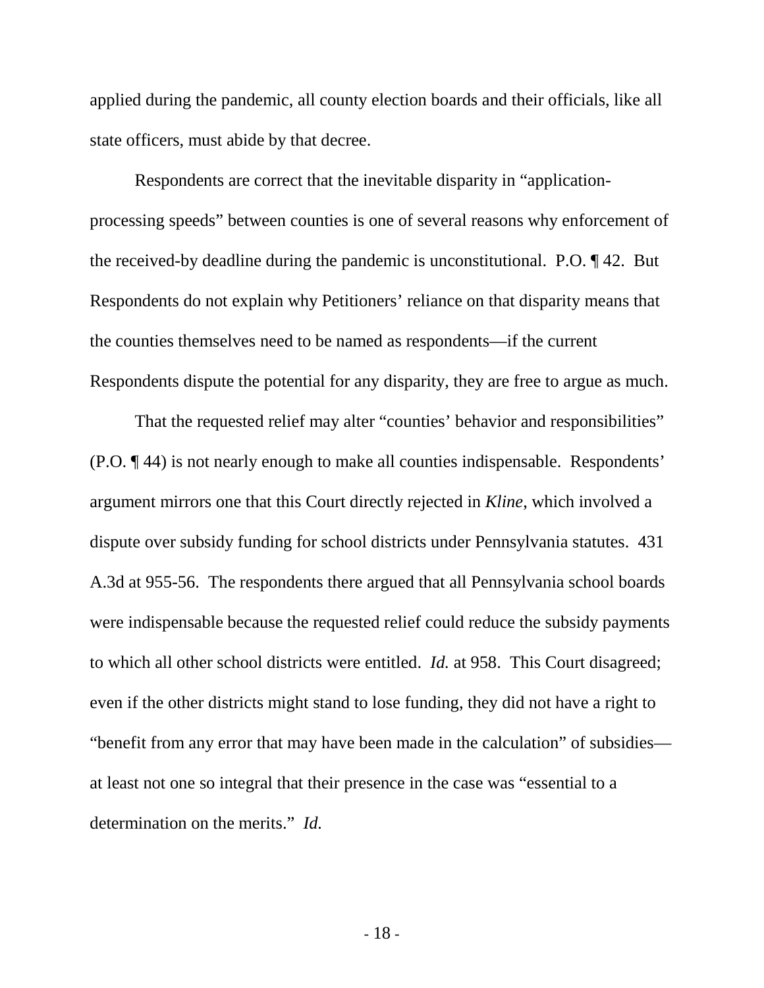applied during the pandemic, all county election boards and their officials, like all state officers, must abide by that decree.

Respondents are correct that the inevitable disparity in "applicationprocessing speeds" between counties is one of several reasons why enforcement of the received-by deadline during the pandemic is unconstitutional. P.O. ¶ 42. But Respondents do not explain why Petitioners' reliance on that disparity means that the counties themselves need to be named as respondents—if the current Respondents dispute the potential for any disparity, they are free to argue as much.

That the requested relief may alter "counties' behavior and responsibilities" (P.O. ¶ 44) is not nearly enough to make all counties indispensable. Respondents' argument mirrors one that this Court directly rejected in *Kline*, which involved a dispute over subsidy funding for school districts under Pennsylvania statutes. 431 A.3d at 955-56. The respondents there argued that all Pennsylvania school boards were indispensable because the requested relief could reduce the subsidy payments to which all other school districts were entitled. *Id.* at 958. This Court disagreed; even if the other districts might stand to lose funding, they did not have a right to "benefit from any error that may have been made in the calculation" of subsidies at least not one so integral that their presence in the case was "essential to a determination on the merits." *Id.*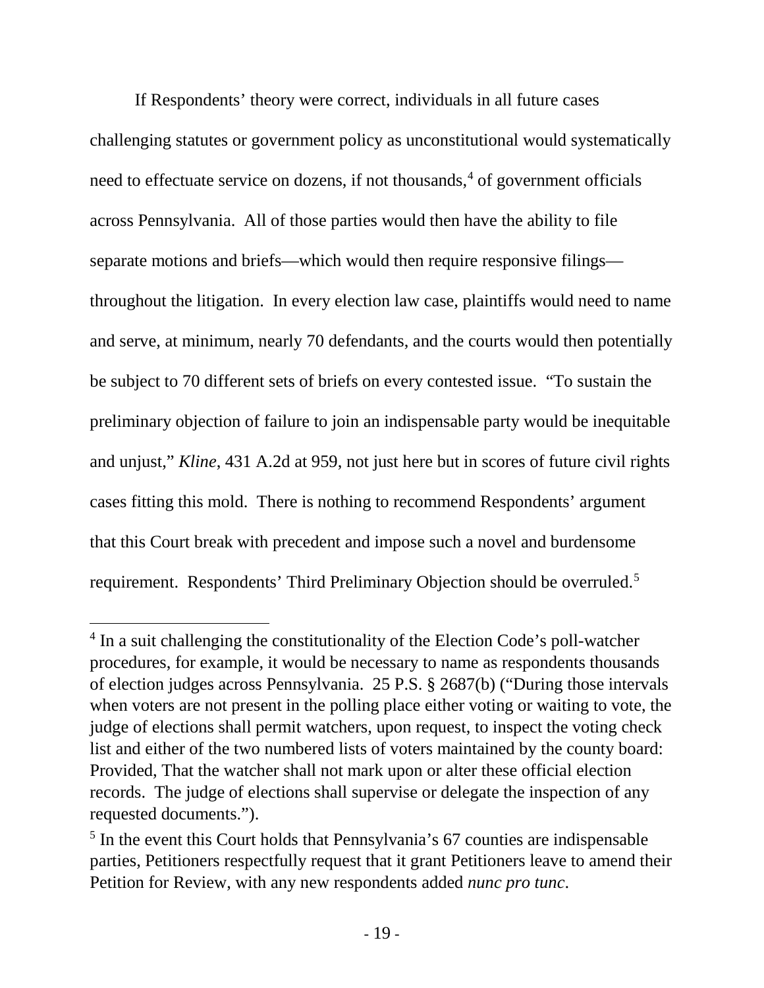If Respondents' theory were correct, individuals in all future cases challenging statutes or government policy as unconstitutional would systematically need to effectuate service on dozens, if not thousands, $4$  of government officials across Pennsylvania. All of those parties would then have the ability to file separate motions and briefs—which would then require responsive filings throughout the litigation. In every election law case, plaintiffs would need to name and serve, at minimum, nearly 70 defendants, and the courts would then potentially be subject to 70 different sets of briefs on every contested issue. "To sustain the preliminary objection of failure to join an indispensable party would be inequitable and unjust," *Kline*, 431 A.2d at 959, not just here but in scores of future civil rights cases fitting this mold. There is nothing to recommend Respondents' argument that this Court break with precedent and impose such a novel and burdensome requirement. Respondents' Third Preliminary Objection should be overruled.[5](#page-23-1)

<span id="page-23-0"></span><sup>&</sup>lt;sup>4</sup> In a suit challenging the constitutionality of the Election Code's poll-watcher procedures, for example, it would be necessary to name as respondents thousands of election judges across Pennsylvania. 25 P.S. § 2687(b) ("During those intervals when voters are not present in the polling place either voting or waiting to vote, the judge of elections shall permit watchers, upon request, to inspect the voting check list and either of the two numbered lists of voters maintained by the county board: Provided, That the watcher shall not mark upon or alter these official election records. The judge of elections shall supervise or delegate the inspection of any requested documents.").

<span id="page-23-1"></span> $<sup>5</sup>$  In the event this Court holds that Pennsylvania's 67 counties are indispensable</sup> parties, Petitioners respectfully request that it grant Petitioners leave to amend their Petition for Review, with any new respondents added *nunc pro tunc*.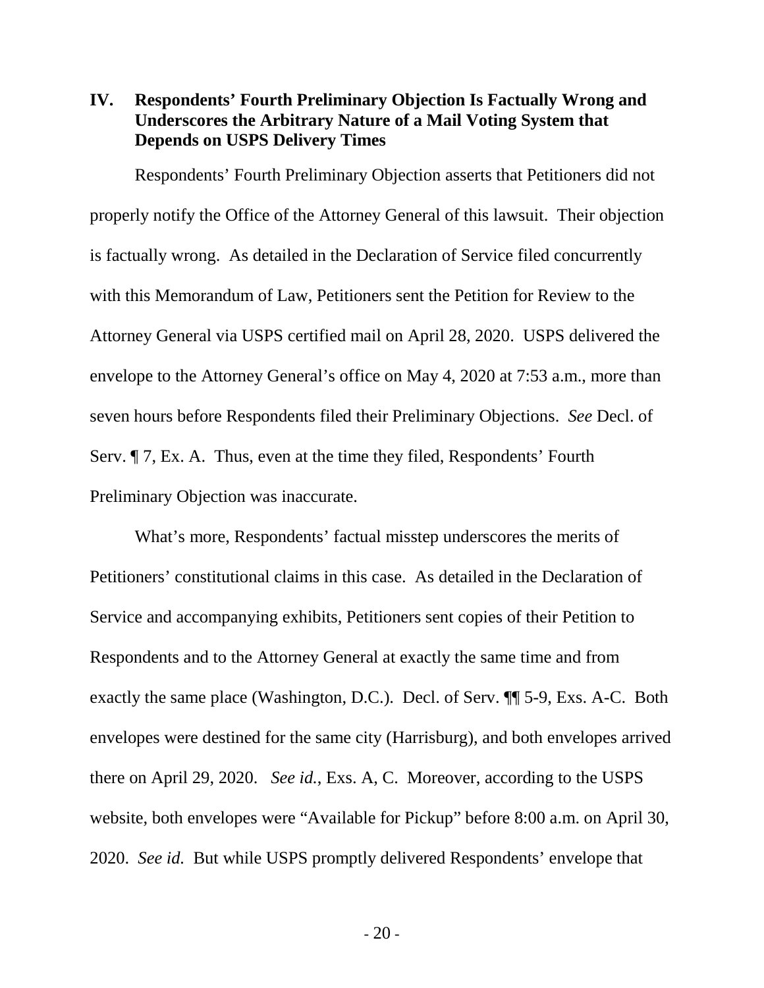## <span id="page-24-0"></span>**IV. Respondents' Fourth Preliminary Objection Is Factually Wrong and Underscores the Arbitrary Nature of a Mail Voting System that Depends on USPS Delivery Times**

Respondents' Fourth Preliminary Objection asserts that Petitioners did not properly notify the Office of the Attorney General of this lawsuit. Their objection is factually wrong. As detailed in the Declaration of Service filed concurrently with this Memorandum of Law, Petitioners sent the Petition for Review to the Attorney General via USPS certified mail on April 28, 2020. USPS delivered the envelope to the Attorney General's office on May 4, 2020 at 7:53 a.m., more than seven hours before Respondents filed their Preliminary Objections. *See* Decl. of Serv. ¶ 7, Ex. A. Thus, even at the time they filed, Respondents' Fourth Preliminary Objection was inaccurate.

What's more, Respondents' factual misstep underscores the merits of Petitioners' constitutional claims in this case. As detailed in the Declaration of Service and accompanying exhibits, Petitioners sent copies of their Petition to Respondents and to the Attorney General at exactly the same time and from exactly the same place (Washington, D.C.). Decl. of Serv. ¶¶ 5-9, Exs. A-C. Both envelopes were destined for the same city (Harrisburg), and both envelopes arrived there on April 29, 2020. *See id.*, Exs. A, C. Moreover, according to the USPS website, both envelopes were "Available for Pickup" before 8:00 a.m. on April 30, 2020. *See id.* But while USPS promptly delivered Respondents' envelope that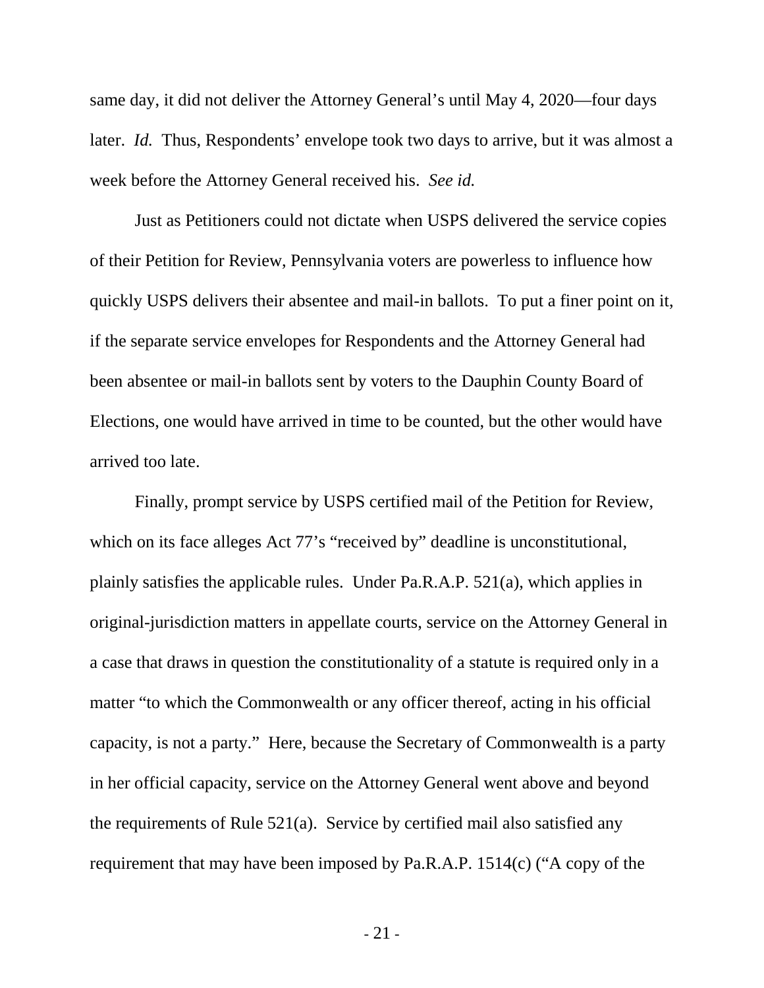same day, it did not deliver the Attorney General's until May 4, 2020—four days later. *Id.* Thus, Respondents' envelope took two days to arrive, but it was almost a week before the Attorney General received his. *See id.*

Just as Petitioners could not dictate when USPS delivered the service copies of their Petition for Review, Pennsylvania voters are powerless to influence how quickly USPS delivers their absentee and mail-in ballots. To put a finer point on it, if the separate service envelopes for Respondents and the Attorney General had been absentee or mail-in ballots sent by voters to the Dauphin County Board of Elections, one would have arrived in time to be counted, but the other would have arrived too late.

Finally, prompt service by USPS certified mail of the Petition for Review, which on its face alleges Act 77's "received by" deadline is unconstitutional, plainly satisfies the applicable rules. Under Pa.R.A.P. 521(a), which applies in original-jurisdiction matters in appellate courts, service on the Attorney General in a case that draws in question the constitutionality of a statute is required only in a matter "to which the Commonwealth or any officer thereof, acting in his official capacity, is not a party." Here, because the Secretary of Commonwealth is a party in her official capacity, service on the Attorney General went above and beyond the requirements of Rule 521(a). Service by certified mail also satisfied any requirement that may have been imposed by Pa.R.A.P. 1514(c) ("A copy of the

- 21 -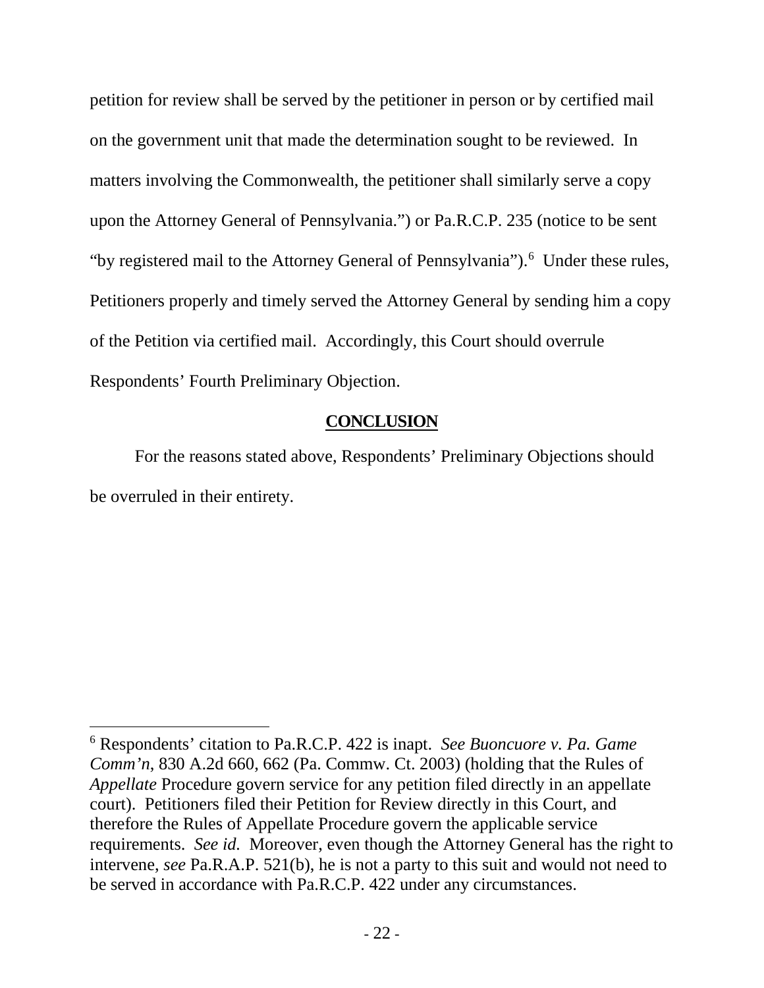petition for review shall be served by the petitioner in person or by certified mail on the government unit that made the determination sought to be reviewed. In matters involving the Commonwealth, the petitioner shall similarly serve a copy upon the Attorney General of Pennsylvania.") or Pa.R.C.P. 235 (notice to be sent "by registered mail to the Attorney General of Pennsylvania").<sup>[6](#page-26-1)</sup> Under these rules, Petitioners properly and timely served the Attorney General by sending him a copy of the Petition via certified mail. Accordingly, this Court should overrule Respondents' Fourth Preliminary Objection.

## **CONCLUSION**

<span id="page-26-0"></span>For the reasons stated above, Respondents' Preliminary Objections should be overruled in their entirety.

<span id="page-26-1"></span> <sup>6</sup> Respondents' citation to Pa.R.C.P. 422 is inapt. *See Buoncuore v. Pa. Game Comm'n*, 830 A.2d 660, 662 (Pa. Commw. Ct. 2003) (holding that the Rules of *Appellate* Procedure govern service for any petition filed directly in an appellate court). Petitioners filed their Petition for Review directly in this Court, and therefore the Rules of Appellate Procedure govern the applicable service requirements. *See id.* Moreover, even though the Attorney General has the right to intervene, *see* Pa.R.A.P. 521(b), he is not a party to this suit and would not need to be served in accordance with Pa.R.C.P. 422 under any circumstances.